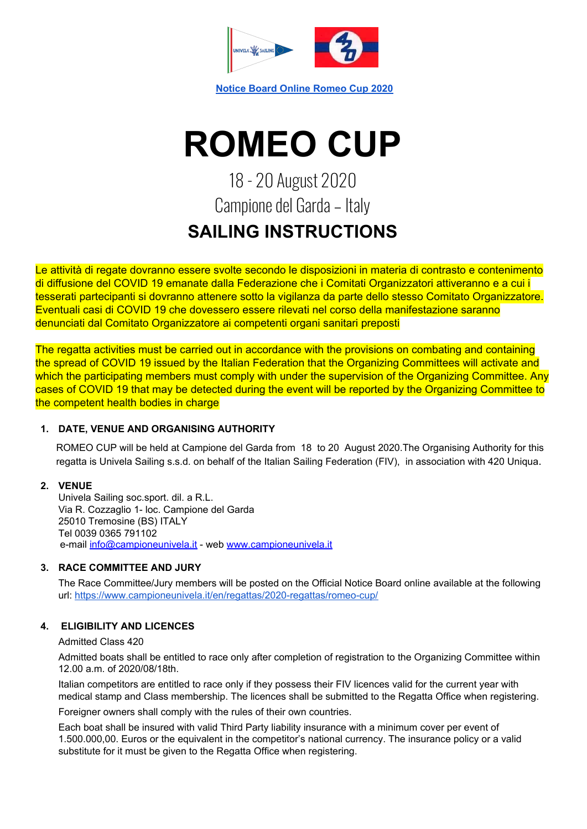

**Notice Board Online [Romeo](https://www.campioneunivela.it/en/regattas/2020-regattas/romeo-cup/) Cup 2020**

# **ROMEO CUP**

# 18 - 20 August 2020 Campione del Garda - Italy **SAILING INSTRUCTIONS**

Le attività di regate dovranno essere svolte secondo le disposizioni in materia di contrasto e contenimento di diffusione del COVID 19 emanate dalla Federazione che i Comitati Organizzatori attiveranno e a cui i tesserati partecipanti si dovranno attenere sotto la vigilanza da parte dello stesso Comitato Organizzatore. Eventuali casi di COVID 19 che dovessero essere rilevati nel corso della manifestazione saranno denunciati dal Comitato Organizzatore ai competenti organi sanitari preposti

The regatta activities must be carried out in accordance with the provisions on combating and containing the spread of COVID 19 issued by the Italian Federation that the Organizing Committees will activate and which the participating members must comply with under the supervision of the Organizing Committee. Any cases of COVID 19 that may be detected during the event will be reported by the Organizing Committee to the competent health bodies in charge

## **1. DATE, VENUE AND ORGANISING AUTHORITY**

ROMEO CUP will be held at Campione del Garda from 18 to 20 August 2020.The Organising Authority for this regatta is Univela Sailing s.s.d. on behalf of the Italian Sailing Federation (FIV), in association with 420 Uniqua.

## **2. VENUE**

Univela Sailing soc.sport. dil. a R.L. Via R. Cozzaglio 1- loc. Campione del Garda 25010 Tremosine (BS) ITALY Tel 0039 0365 791102 e-mail [info@campioneunivela.it](mailto:info@campioneunivela.it) - web [www.campioneunivela.it](http://www.campioneunivela.it/)

# **3. RACE COMMITTEE AND JURY**

The Race Committee/Jury members will be posted on the Official Notice Board online available at the following url: <https://www.campioneunivela.it/en/regattas/2020-regattas/romeo-cup/>

# **4. ELIGIBILITY AND LICENCES**

## Admitted Class 420

Admitted boats shall be entitled to race only after completion of registration to the Organizing Committee within 12.00 a.m. of 2020/08/18th.

Italian competitors are entitled to race only if they possess their FIV licences valid for the current year with medical stamp and Class membership. The licences shall be submitted to the Regatta Office when registering.

Foreigner owners shall comply with the rules of their own countries.

Each boat shall be insured with valid Third Party liability insurance with a minimum cover per event of 1.500.000,00. Euros or the equivalent in the competitor's national currency. The insurance policy or a valid substitute for it must be given to the Regatta Office when registering.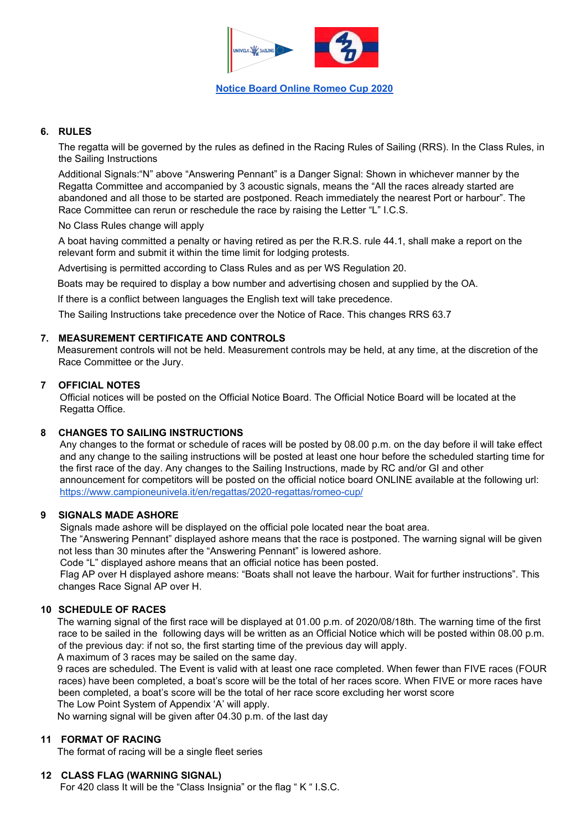

#### **6. RULES**

The regatta will be governed by the rules as defined in the Racing Rules of Sailing (RRS). In the Class Rules, in the Sailing Instructions

Additional Signals:"N" above "Answering Pennant" is a Danger Signal: Shown in whichever manner by the Regatta Committee and accompanied by 3 acoustic signals, means the "All the races already started are abandoned and all those to be started are postponed. Reach immediately the nearest Port or harbour". The Race Committee can rerun or reschedule the race by raising the Letter "L" I.C.S.

No Class Rules change will apply

A boat having committed a penalty or having retired as per the R.R.S. rule 44.1, shall make a report on the relevant form and submit it within the time limit for lodging protests.

Advertising is permitted according to Class Rules and as per WS Regulation 20.

Boats may be required to display a bow number and advertising chosen and supplied by the OA.

If there is a conflict between languages the English text will take precedence.

The Sailing Instructions take precedence over the Notice of Race. This changes RRS 63.7

#### **7. MEASUREMENT CERTIFICATE AND CONTROLS**

Measurement controls will not be held. Measurement controls may be held, at any time, at the discretion of the Race Committee or the Jury.

#### **7 OFFICIAL NOTES**

Official notices will be posted on the Official Notice Board. The Official Notice Board will be located at the Regatta Office.

#### **8 CHANGES TO SAILING INSTRUCTIONS**

Any changes to the format or schedule of races will be posted by 08.00 p.m. on the day before il will take effect and any change to the sailing instructions will be posted at least one hour before the scheduled starting time for the first race of the day. Any changes to the Sailing Instructions, made by RC and/or GI and other announcement for competitors will be posted on the official notice board ONLINE available at the following url: <https://www.campioneunivela.it/en/regattas/2020-regattas/romeo-cup/>

#### **9 SIGNALS MADE ASHORE**

Signals made ashore will be displayed on the official pole located near the boat area.

The "Answering Pennant" displayed ashore means that the race is postponed. The warning signal will be given not less than 30 minutes after the "Answering Pennant" is lowered ashore.

Code "L" displayed ashore means that an official notice has been posted.

Flag AP over H displayed ashore means: "Boats shall not leave the harbour. Wait for further instructions". This changes Race Signal AP over H.

#### **10 SCHEDULE OF RACES**

The warning signal of the first race will be displayed at 01.00 p.m. of 2020/08/18th. The warning time of the first race to be sailed in the following days will be written as an Official Notice which will be posted within 08.00 p.m. of the previous day: if not so, the first starting time of the previous day will apply.

A maximum of 3 races may be sailed on the same day.

9 races are scheduled. The Event is valid with at least one race completed. When fewer than FIVE races (FOUR races) have been completed, a boat's score will be the total of her races score. When FIVE or more races have been completed, a boat's score will be the total of her race score excluding her worst score The Low Point System of Appendix 'A' will apply.

No warning signal will be given after 04.30 p.m. of the last day

#### **11 FORMAT OF RACING**

The format of racing will be a single fleet series

#### **12 CLASS FLAG (WARNING SIGNAL)**

For 420 class It will be the "Class Insignia" or the flag " K " I.S.C.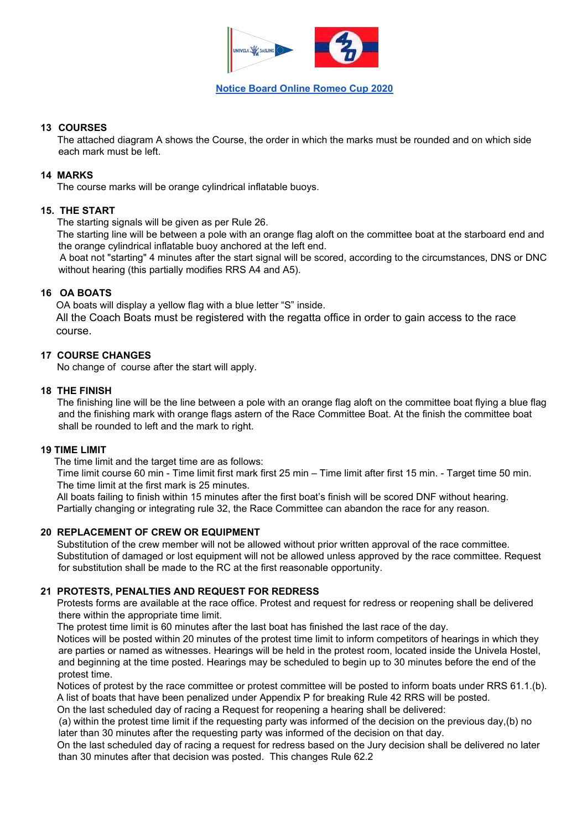

#### **Notice Board Online [Romeo](https://www.campioneunivela.it/en/regattas/2020-regattas/romeo-cup/) Cup 2020**

#### **13 COURSES**

The attached diagram A shows the Course, the order in which the marks must be rounded and on which side each mark must be left.

#### **14 MARKS**

The course marks will be orange cylindrical inflatable buoys.

#### **15. THE START**

The starting signals will be given as per Rule 26.

The starting line will be between a pole with an orange flag aloft on the committee boat at the starboard end and the orange cylindrical inflatable buoy anchored at the left end.

A boat not "starting" 4 minutes after the start signal will be scored, according to the circumstances, DNS or DNC without hearing (this partially modifies RRS A4 and A5).

#### **16 OA BOATS**

OA boats will display a yellow flag with a blue letter "S" inside.

All the Coach Boats must be registered with the regatta office in order to gain access to the race course.

#### **17 COURSE CHANGES**

No change of course after the start will apply.

#### **18 THE FINISH**

The finishing line will be the line between a pole with an orange flag aloft on the committee boat flying a blue flag and the finishing mark with orange flags astern of the Race Committee Boat. At the finish the committee boat shall be rounded to left and the mark to right.

#### **19 TIME LIMIT**

The time limit and the target time are as follows:

Time limit course 60 min - Time limit first mark first 25 min – Time limit after first 15 min. - Target time 50 min. The time limit at the first mark is 25 minutes.

All boats failing to finish within 15 minutes after the first boat's finish will be scored DNF without hearing. Partially changing or integrating rule 32, the Race Committee can abandon the race for any reason.

#### **20 REPLACEMENT OF CREW OR EQUIPMENT**

Substitution of the crew member will not be allowed without prior written approval of the race committee. Substitution of damaged or lost equipment will not be allowed unless approved by the race committee. Request for substitution shall be made to the RC at the first reasonable opportunity.

#### **21 PROTESTS, PENALTIES AND REQUEST FOR REDRESS**

Protests forms are available at the race office. Protest and request for redress or reopening shall be delivered there within the appropriate time limit.

The protest time limit is 60 minutes after the last boat has finished the last race of the day.

Notices will be posted within 20 minutes of the protest time limit to inform competitors of hearings in which they are parties or named as witnesses. Hearings will be held in the protest room, located inside the Univela Hostel, and beginning at the time posted. Hearings may be scheduled to begin up to 30 minutes before the end of the protest time.

Notices of protest by the race committee or protest committee will be posted to inform boats under RRS 61.1.(b). A list of boats that have been penalized under Appendix P for breaking Rule 42 RRS will be posted.

On the last scheduled day of racing a Request for reopening a hearing shall be delivered:

(a) within the protest time limit if the requesting party was informed of the decision on the previous day,(b) no later than 30 minutes after the requesting party was informed of the decision on that day.

On the last scheduled day of racing a request for redress based on the Jury decision shall be delivered no later than 30 minutes after that decision was posted. This changes Rule 62.2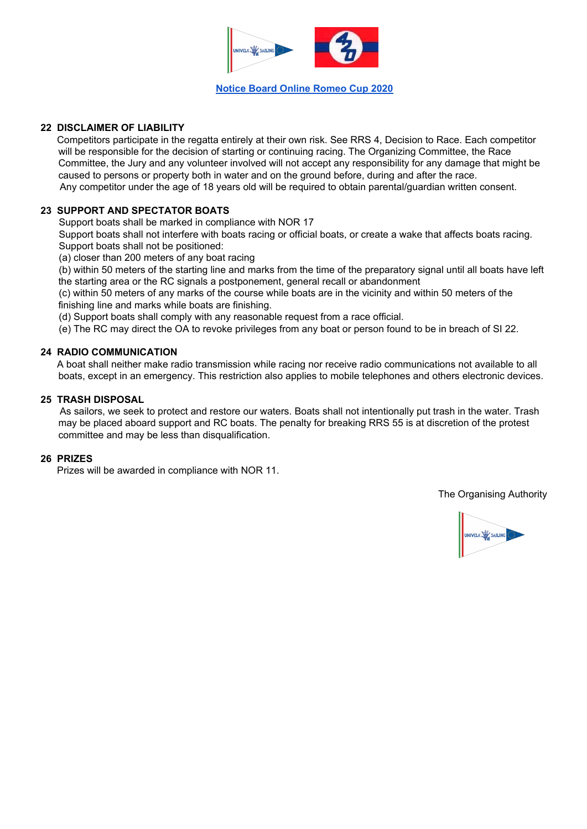

#### **Notice Board Online [Romeo](https://www.campioneunivela.it/en/regattas/2020-regattas/romeo-cup/) Cup 2020**

#### **22 DISCLAIMER OF LIABILITY**

Competitors participate in the regatta entirely at their own risk. See RRS 4, Decision to Race. Each competitor will be responsible for the decision of starting or continuing racing. The Organizing Committee, the Race Committee, the Jury and any volunteer involved will not accept any responsibility for any damage that might be caused to persons or property both in water and on the ground before, during and after the race. Any competitor under the age of 18 years old will be required to obtain parental/guardian written consent.

#### **23 SUPPORT AND SPECTATOR BOATS**

Support boats shall be marked in compliance with NOR 17

Support boats shall not interfere with boats racing or official boats, or create a wake that affects boats racing. Support boats shall not be positioned:

(a) closer than 200 meters of any boat racing

(b) within 50 meters of the starting line and marks from the time of the preparatory signal until all boats have left the starting area or the RC signals a postponement, general recall or abandonment

(c) within 50 meters of any marks of the course while boats are in the vicinity and within 50 meters of the finishing line and marks while boats are finishing.

(d) Support boats shall comply with any reasonable request from a race official.

(e) The RC may direct the OA to revoke privileges from any boat or person found to be in breach of SI 22.

#### **24 RADIO COMMUNICATION**

A boat shall neither make radio transmission while racing nor receive radio communications not available to all boats, except in an emergency. This restriction also applies to mobile telephones and others electronic devices.

#### **25 TRASH DISPOSAL**

As sailors, we seek to protect and restore our waters. Boats shall not intentionally put trash in the water. Trash may be placed aboard support and RC boats. The penalty for breaking RRS 55 is at discretion of the protest committee and may be less than disqualification.

#### **26 PRIZES**

Prizes will be awarded in compliance with NOR 11.

The Organising Authority